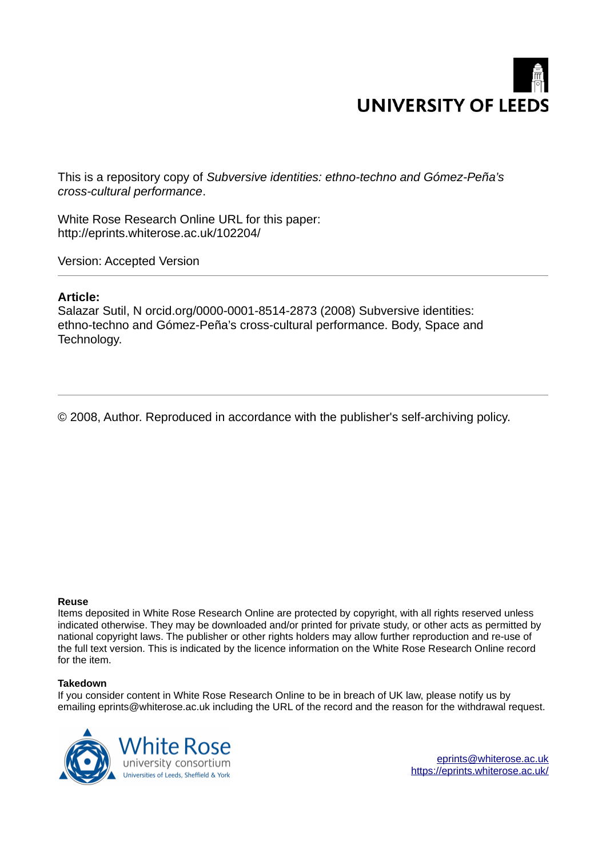

This is a repository copy of *Subversive identities: ethno-techno and Gómez-Peña's cross-cultural performance*.

White Rose Research Online URL for this paper: http://eprints.whiterose.ac.uk/102204/

Version: Accepted Version

# **Article:**

Salazar Sutil, N orcid.org/0000-0001-8514-2873 (2008) Subversive identities: ethno-techno and Gómez-Peña's cross-cultural performance. Body, Space and Technology.

© 2008, Author. Reproduced in accordance with the publisher's self-archiving policy.

## **Reuse**

Items deposited in White Rose Research Online are protected by copyright, with all rights reserved unless indicated otherwise. They may be downloaded and/or printed for private study, or other acts as permitted by national copyright laws. The publisher or other rights holders may allow further reproduction and re-use of the full text version. This is indicated by the licence information on the White Rose Research Online record for the item.

## **Takedown**

If you consider content in White Rose Research Online to be in breach of UK law, please notify us by emailing eprints@whiterose.ac.uk including the URL of the record and the reason for the withdrawal request.



[eprints@whiterose.ac.uk](mailto:eprints@whiterose.ac.uk) <https://eprints.whiterose.ac.uk/>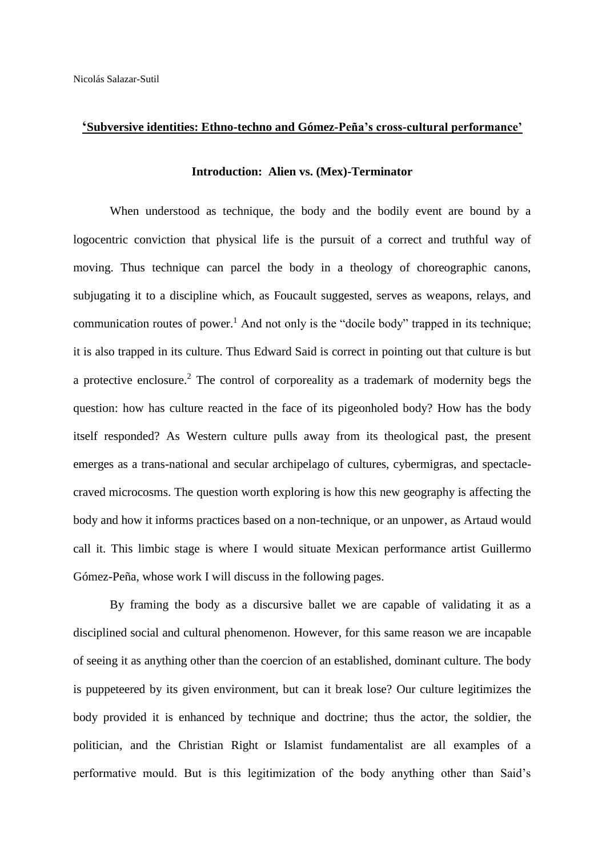# **'Subversive identities: Ethno-techno and Gómez-Peña's cross-cultural performance'**

### **Introduction: Alien vs. (Mex)-Terminator**

When understood as technique, the body and the bodily event are bound by a logocentric conviction that physical life is the pursuit of a correct and truthful way of moving. Thus technique can parcel the body in a theology of choreographic canons, subjugating it to a discipline which, as Foucault suggested, serves as weapons, relays, and communication routes of power.<sup>1</sup> And not only is the "docile body" trapped in its technique; it is also trapped in its culture. Thus Edward Said is correct in pointing out that culture is but a protective enclosure.<sup>2</sup> The control of corporeality as a trademark of modernity begs the question: how has culture reacted in the face of its pigeonholed body? How has the body itself responded? As Western culture pulls away from its theological past, the present emerges as a trans-national and secular archipelago of cultures, cybermigras, and spectaclecraved microcosms. The question worth exploring is how this new geography is affecting the body and how it informs practices based on a non-technique, or an unpower, as Artaud would call it. This limbic stage is where I would situate Mexican performance artist Guillermo Gómez-Peña, whose work I will discuss in the following pages.

By framing the body as a discursive ballet we are capable of validating it as a disciplined social and cultural phenomenon. However, for this same reason we are incapable of seeing it as anything other than the coercion of an established, dominant culture. The body is puppeteered by its given environment, but can it break lose? Our culture legitimizes the body provided it is enhanced by technique and doctrine; thus the actor, the soldier, the politician, and the Christian Right or Islamist fundamentalist are all examples of a performative mould. But is this legitimization of the body anything other than Said's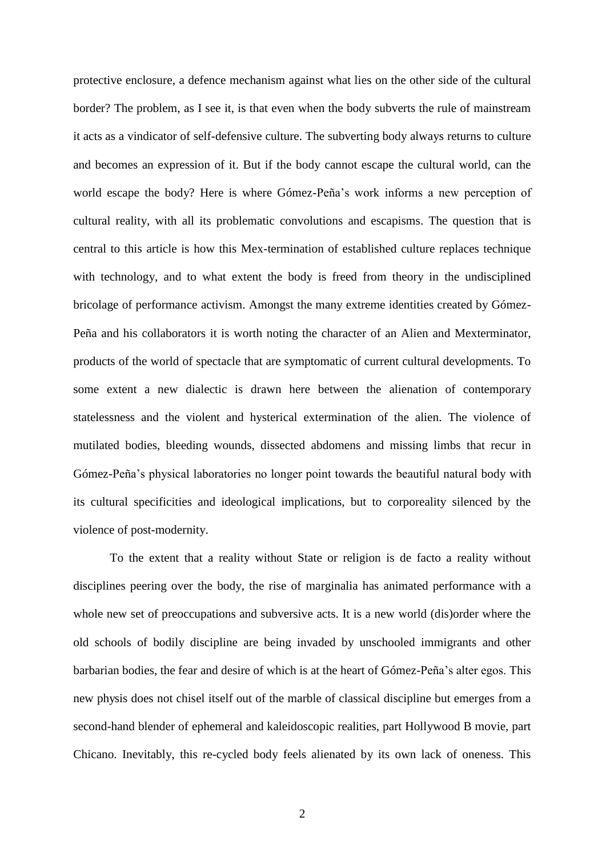protective enclosure, a defence mechanism against what lies on the other side of the cultural border? The problem, as I see it, is that even when the body subverts the rule of mainstream it acts as a vindicator of self-defensive culture. The subverting body always returns to culture and becomes an expression of it. But if the body cannot escape the cultural world, can the world escape the body? Here is where Gómez-Peña's work informs a new perception of cultural reality, with all its problematic convolutions and escapisms. The question that is central to this article is how this Mex-termination of established culture replaces technique with technology, and to what extent the body is freed from theory in the undisciplined bricolage of performance activism. Amongst the many extreme identities created by Gómez-Peña and his collaborators it is worth noting the character of an Alien and Mexterminator, products of the world of spectacle that are symptomatic of current cultural developments. To some extent a new dialectic is drawn here between the alienation of contemporary statelessness and the violent and hysterical extermination of the alien. The violence of mutilated bodies, bleeding wounds, dissected abdomens and missing limbs that recur in Gómez-Peña's physical laboratories no longer point towards the beautiful natural body with its cultural specificities and ideological implications, but to corporeality silenced by the violence of post-modernity.

To the extent that a reality without State or religion is de facto a reality without disciplines peering over the body, the rise of marginalia has animated performance with a whole new set of preoccupations and subversive acts. It is a new world (dis)order where the old schools of bodily discipline are being invaded by unschooled immigrants and other barbarian bodies, the fear and desire of which is at the heart of Gómez-Peña's alter egos. This new physis does not chisel itself out of the marble of classical discipline but emerges from a second-hand blender of ephemeral and kaleidoscopic realities, part Hollywood B movie, part Chicano. Inevitably, this re-cycled body feels alienated by its own lack of oneness. This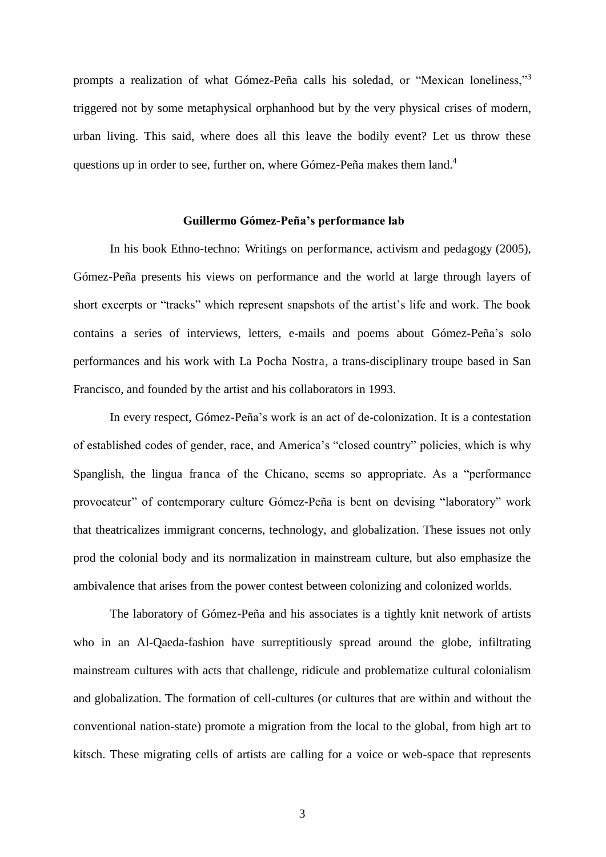prompts a realization of what Gómez-Peña calls his soledad, or "Mexican loneliness,"<sup>3</sup> triggered not by some metaphysical orphanhood but by the very physical crises of modern, urban living. This said, where does all this leave the bodily event? Let us throw these questions up in order to see, further on, where Gómez-Peña makes them land.<sup>4</sup>

#### **Guillermo Gómez-Peña's performance lab**

In his book Ethno-techno: Writings on performance, activism and pedagogy (2005), Gómez-Peña presents his views on performance and the world at large through layers of short excerpts or "tracks" which represent snapshots of the artist's life and work. The book contains a series of interviews, letters, e-mails and poems about Gómez-Peña's solo performances and his work with La Pocha Nostra, a trans-disciplinary troupe based in San Francisco, and founded by the artist and his collaborators in 1993.

In every respect, Gómez-Peña's work is an act of de-colonization. It is a contestation of established codes of gender, race, and America's "closed country" policies, which is why Spanglish, the lingua franca of the Chicano, seems so appropriate. As a "performance provocateur" of contemporary culture Gómez-Peña is bent on devising "laboratory" work that theatricalizes immigrant concerns, technology, and globalization. These issues not only prod the colonial body and its normalization in mainstream culture, but also emphasize the ambivalence that arises from the power contest between colonizing and colonized worlds.

The laboratory of Gómez-Peña and his associates is a tightly knit network of artists who in an Al-Qaeda-fashion have surreptitiously spread around the globe, infiltrating mainstream cultures with acts that challenge, ridicule and problematize cultural colonialism and globalization. The formation of cell-cultures (or cultures that are within and without the conventional nation-state) promote a migration from the local to the global, from high art to kitsch. These migrating cells of artists are calling for a voice or web-space that represents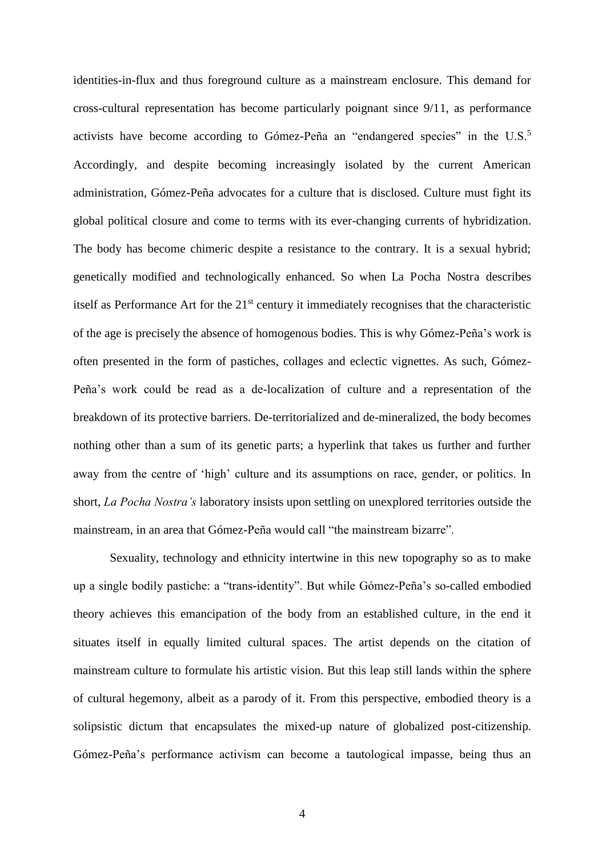identities-in-flux and thus foreground culture as a mainstream enclosure. This demand for cross-cultural representation has become particularly poignant since 9/11, as performance activists have become according to Gómez-Peña an "endangered species" in the U.S.<sup>5</sup> Accordingly, and despite becoming increasingly isolated by the current American administration, Gómez-Peña advocates for a culture that is disclosed. Culture must fight its global political closure and come to terms with its ever-changing currents of hybridization. The body has become chimeric despite a resistance to the contrary. It is a sexual hybrid; genetically modified and technologically enhanced. So when La Pocha Nostra describes itself as Performance Art for the 21st century it immediately recognises that the characteristic of the age is precisely the absence of homogenous bodies. This is why Gómez-Peña's work is often presented in the form of pastiches, collages and eclectic vignettes. As such, Gómez-Peña's work could be read as a de-localization of culture and a representation of the breakdown of its protective barriers. De-territorialized and de-mineralized, the body becomes nothing other than a sum of its genetic parts; a hyperlink that takes us further and further away from the centre of 'high' culture and its assumptions on race, gender, or politics. In short, *La Pocha Nostra's* laboratory insists upon settling on unexplored territories outside the mainstream, in an area that Gómez-Peña would call "the mainstream bizarre".

Sexuality, technology and ethnicity intertwine in this new topography so as to make up a single bodily pastiche: a "trans-identity". But while Gómez-Peña's so-called embodied theory achieves this emancipation of the body from an established culture, in the end it situates itself in equally limited cultural spaces. The artist depends on the citation of mainstream culture to formulate his artistic vision. But this leap still lands within the sphere of cultural hegemony, albeit as a parody of it. From this perspective, embodied theory is a solipsistic dictum that encapsulates the mixed-up nature of globalized post-citizenship. Gómez-Peña's performance activism can become a tautological impasse, being thus an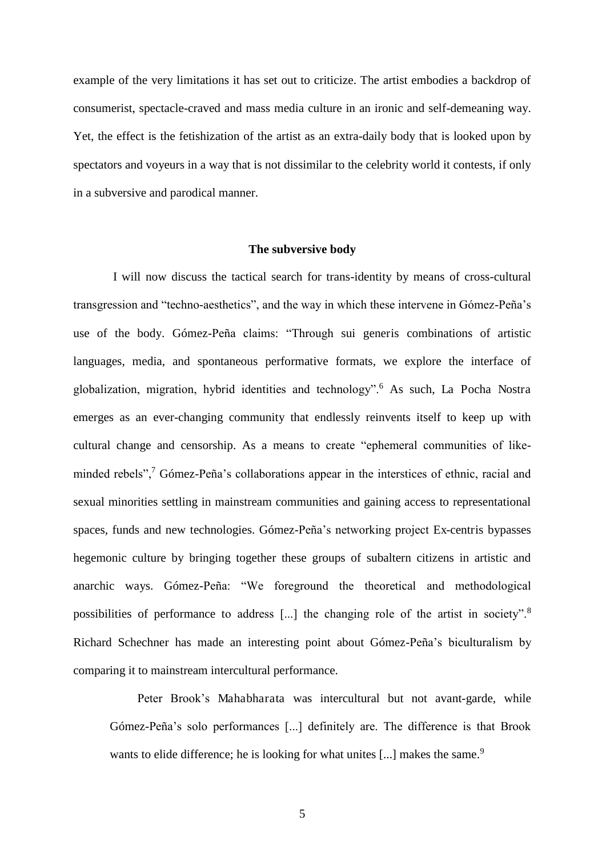example of the very limitations it has set out to criticize. The artist embodies a backdrop of consumerist, spectacle-craved and mass media culture in an ironic and self-demeaning way. Yet, the effect is the fetishization of the artist as an extra-daily body that is looked upon by spectators and voyeurs in a way that is not dissimilar to the celebrity world it contests, if only in a subversive and parodical manner.

#### **The subversive body**

 I will now discuss the tactical search for trans-identity by means of cross-cultural transgression and "techno-aesthetics", and the way in which these intervene in Gómez-Peña's use of the body. Gómez-Peña claims: "Through sui generis combinations of artistic languages, media, and spontaneous performative formats, we explore the interface of globalization, migration, hybrid identities and technology".<sup>6</sup> As such, La Pocha Nostra emerges as an ever-changing community that endlessly reinvents itself to keep up with cultural change and censorship. As a means to create "ephemeral communities of likeminded rebels",<sup>7</sup> Gómez-Peña's collaborations appear in the interstices of ethnic, racial and sexual minorities settling in mainstream communities and gaining access to representational spaces, funds and new technologies. Gómez-Peña's networking project Ex-centris bypasses hegemonic culture by bringing together these groups of subaltern citizens in artistic and anarchic ways. Gómez-Peña: "We foreground the theoretical and methodological possibilities of performance to address [...] the changing role of the artist in society".<sup>8</sup> Richard Schechner has made an interesting point about Gómez-Peña's biculturalism by comparing it to mainstream intercultural performance.

Peter Brook's Mahabharata was intercultural but not avant-garde, while Gómez-Peña's solo performances [...] definitely are. The difference is that Brook wants to elide difference; he is looking for what unites [...] makes the same.<sup>9</sup>

5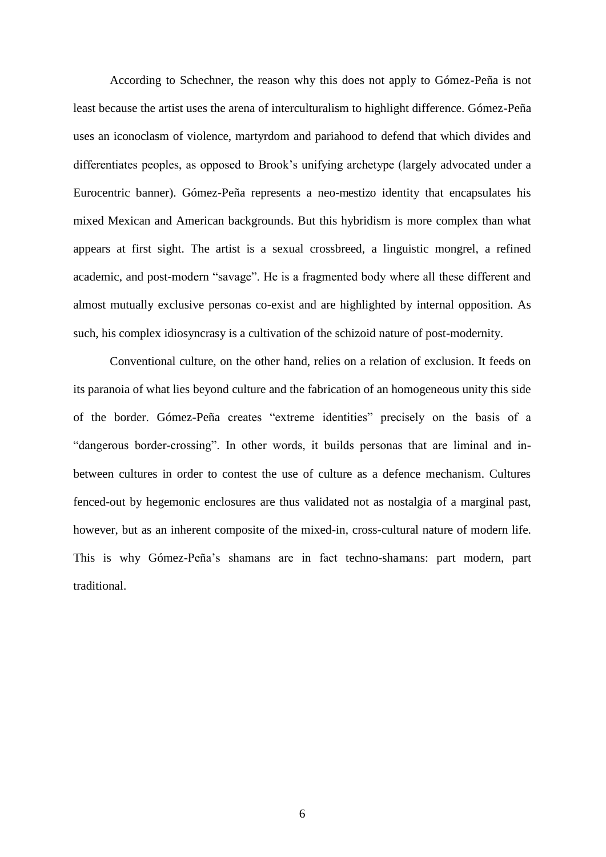According to Schechner, the reason why this does not apply to Gómez-Peña is not least because the artist uses the arena of interculturalism to highlight difference. Gómez-Peña uses an iconoclasm of violence, martyrdom and pariahood to defend that which divides and differentiates peoples, as opposed to Brook's unifying archetype (largely advocated under a Eurocentric banner). Gómez-Peña represents a neo-mestizo identity that encapsulates his mixed Mexican and American backgrounds. But this hybridism is more complex than what appears at first sight. The artist is a sexual crossbreed, a linguistic mongrel, a refined academic, and post-modern "savage". He is a fragmented body where all these different and almost mutually exclusive personas co-exist and are highlighted by internal opposition. As such, his complex idiosyncrasy is a cultivation of the schizoid nature of post-modernity.

Conventional culture, on the other hand, relies on a relation of exclusion. It feeds on its paranoia of what lies beyond culture and the fabrication of an homogeneous unity this side of the border. Gómez-Peña creates "extreme identities" precisely on the basis of a "dangerous border-crossing". In other words, it builds personas that are liminal and inbetween cultures in order to contest the use of culture as a defence mechanism. Cultures fenced-out by hegemonic enclosures are thus validated not as nostalgia of a marginal past, however, but as an inherent composite of the mixed-in, cross-cultural nature of modern life. This is why Gómez-Peña's shamans are in fact techno-shamans: part modern, part traditional.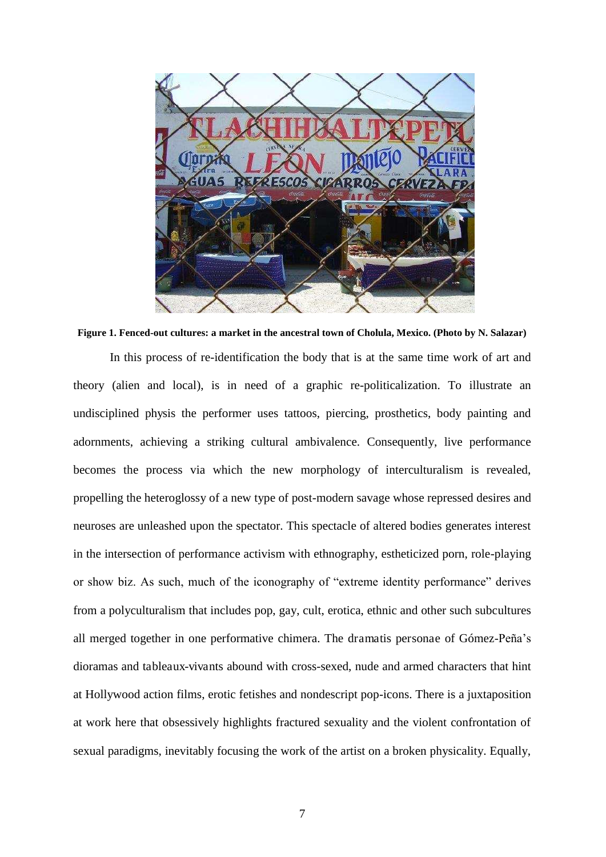

**Figure 1. Fenced-out cultures: a market in the ancestral town of Cholula, Mexico. (Photo by N. Salazar)** In this process of re-identification the body that is at the same time work of art and theory (alien and local), is in need of a graphic re-politicalization. To illustrate an undisciplined physis the performer uses tattoos, piercing, prosthetics, body painting and adornments, achieving a striking cultural ambivalence. Consequently, live performance becomes the process via which the new morphology of interculturalism is revealed, propelling the heteroglossy of a new type of post-modern savage whose repressed desires and neuroses are unleashed upon the spectator. This spectacle of altered bodies generates interest in the intersection of performance activism with ethnography, estheticized porn, role-playing or show biz. As such, much of the iconography of "extreme identity performance" derives from a polyculturalism that includes pop, gay, cult, erotica, ethnic and other such subcultures all merged together in one performative chimera. The dramatis personae of Gómez-Peña's dioramas and tableaux-vivants abound with cross-sexed, nude and armed characters that hint at Hollywood action films, erotic fetishes and nondescript pop-icons. There is a juxtaposition at work here that obsessively highlights fractured sexuality and the violent confrontation of sexual paradigms, inevitably focusing the work of the artist on a broken physicality. Equally,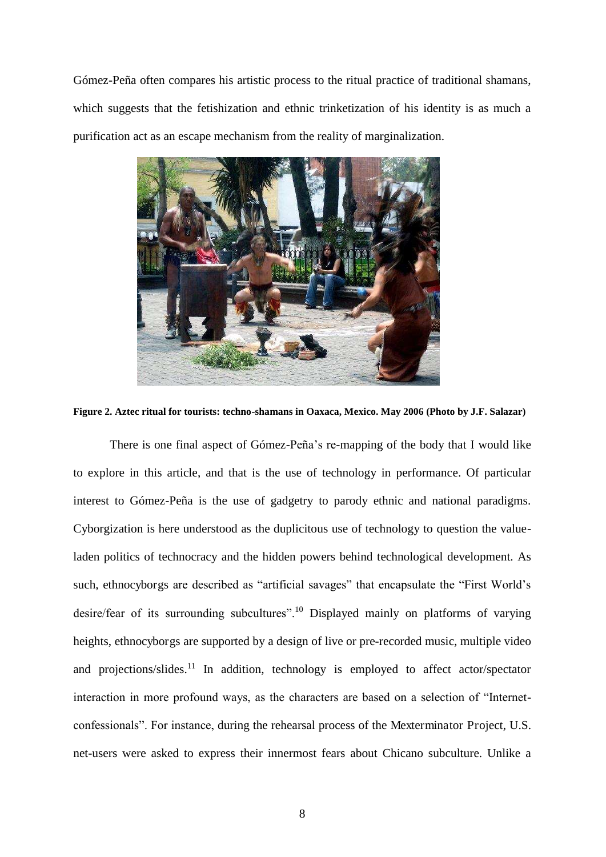Gómez-Peña often compares his artistic process to the ritual practice of traditional shamans, which suggests that the fetishization and ethnic trinketization of his identity is as much a purification act as an escape mechanism from the reality of marginalization.



**Figure 2. Aztec ritual for tourists: techno-shamans in Oaxaca, Mexico. May 2006 (Photo by J.F. Salazar)** 

There is one final aspect of Gómez-Peña's re-mapping of the body that I would like to explore in this article, and that is the use of technology in performance. Of particular interest to Gómez-Peña is the use of gadgetry to parody ethnic and national paradigms. Cyborgization is here understood as the duplicitous use of technology to question the valueladen politics of technocracy and the hidden powers behind technological development. As such, ethnocyborgs are described as "artificial savages" that encapsulate the "First World's desire/fear of its surrounding subcultures".<sup>10</sup> Displayed mainly on platforms of varying heights, ethnocyborgs are supported by a design of live or pre-recorded music, multiple video and projections/slides.<sup>11</sup> In addition, technology is employed to affect actor/spectator interaction in more profound ways, as the characters are based on a selection of "Internetconfessionals". For instance, during the rehearsal process of the Mexterminator Project, U.S. net-users were asked to express their innermost fears about Chicano subculture. Unlike a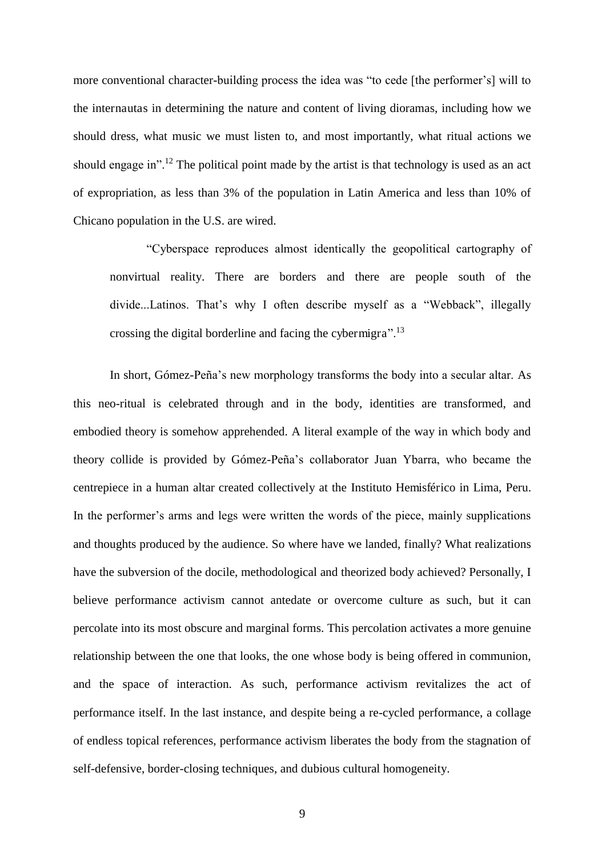more conventional character-building process the idea was "to cede [the performer's] will to the internautas in determining the nature and content of living dioramas, including how we should dress, what music we must listen to, and most importantly, what ritual actions we should engage in".<sup>12</sup> The political point made by the artist is that technology is used as an act of expropriation, as less than 3% of the population in Latin America and less than 10% of Chicano population in the U.S. are wired.

"Cyberspace reproduces almost identically the geopolitical cartography of nonvirtual reality. There are borders and there are people south of the divide...Latinos. That's why I often describe myself as a "Webback", illegally crossing the digital borderline and facing the cybermigra".<sup>13</sup>

In short, Gómez-Peña's new morphology transforms the body into a secular altar. As this neo-ritual is celebrated through and in the body, identities are transformed, and embodied theory is somehow apprehended. A literal example of the way in which body and theory collide is provided by Gómez-Peña's collaborator Juan Ybarra, who became the centrepiece in a human altar created collectively at the Instituto Hemisférico in Lima, Peru. In the performer's arms and legs were written the words of the piece, mainly supplications and thoughts produced by the audience. So where have we landed, finally? What realizations have the subversion of the docile, methodological and theorized body achieved? Personally, I believe performance activism cannot antedate or overcome culture as such, but it can percolate into its most obscure and marginal forms. This percolation activates a more genuine relationship between the one that looks, the one whose body is being offered in communion, and the space of interaction. As such, performance activism revitalizes the act of performance itself. In the last instance, and despite being a re-cycled performance, a collage of endless topical references, performance activism liberates the body from the stagnation of self-defensive, border-closing techniques, and dubious cultural homogeneity.